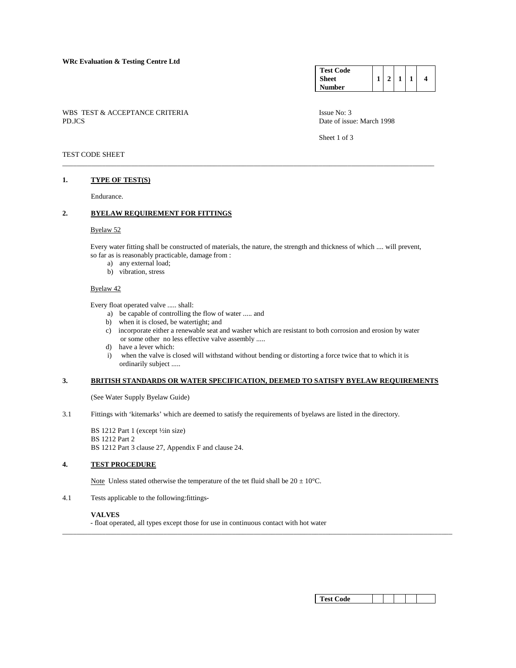| <b>Test Code</b> |  |  |  |
|------------------|--|--|--|
| Sheet            |  |  |  |
| <b>Number</b>    |  |  |  |

WBS TEST & ACCEPTANCE CRITERIA ISSUE No: 3<br>PD.JCS Date of issue No: 3

Date of issue: March 1998

Sheet 1 of 3

## TEST CODE SHEET

### **1. TYPE OF TEST(S)**

Endurance.

# **2. BYELAW REQUIREMENT FOR FITTINGS**

#### Byelaw 52

 Every water fitting shall be constructed of materials, the nature, the strength and thickness of which .... will prevent, so far as is reasonably practicable, damage from :

\_\_\_\_\_\_\_\_\_\_\_\_\_\_\_\_\_\_\_\_\_\_\_\_\_\_\_\_\_\_\_\_\_\_\_\_\_\_\_\_\_\_\_\_\_\_\_\_\_\_\_\_\_\_\_\_\_\_\_\_\_\_\_\_\_\_\_\_\_\_\_\_\_\_\_\_\_\_\_\_\_\_\_\_\_\_\_\_\_\_\_\_\_\_\_\_\_\_\_\_\_\_\_

- a) any external load;
- b) vibration, stress

#### Byelaw 42

Every float operated valve ..... shall:

- a) be capable of controlling the flow of water ..... and
- b) when it is closed, be watertight; and
- c) incorporate either a renewable seat and washer which are resistant to both corrosion and erosion by water or some other no less effective valve assembly .....
- d) have a lever which:
- i) when the valve is closed will withstand without bending or distorting a force twice that to which it is ordinarily subject .....

\_\_\_\_\_\_\_\_\_\_\_\_\_\_\_\_\_\_\_\_\_\_\_\_\_\_\_\_\_\_\_\_\_\_\_\_\_\_\_\_\_\_\_\_\_\_\_\_\_\_\_\_\_\_\_\_\_\_\_\_\_\_\_\_\_\_\_\_\_\_\_\_\_\_\_\_\_\_\_\_\_\_\_\_\_\_\_\_\_\_\_\_\_\_\_\_\_\_\_\_\_\_\_\_\_\_\_\_

## **3. BRITISH STANDARDS OR WATER SPECIFICATION, DEEMED TO SATISFY BYELAW REQUIREMENTS**

(See Water Supply Byelaw Guide)

3.1 Fittings with 'kitemarks' which are deemed to satisfy the requirements of byelaws are listed in the directory.

 BS 1212 Part 1 (except ½in size) BS 1212 Part 2 BS 1212 Part 3 clause 27, Appendix F and clause 24.

## **4. TEST PROCEDURE**

Note Unless stated otherwise the temperature of the tet fluid shall be  $20 \pm 10^{\circ}$ C.

4.1 Tests applicable to the following:fittings-

#### **VALVES**

- float operated, all types except those for use in continuous contact with hot water

| Test Code |  |  |  |  |  |
|-----------|--|--|--|--|--|
|-----------|--|--|--|--|--|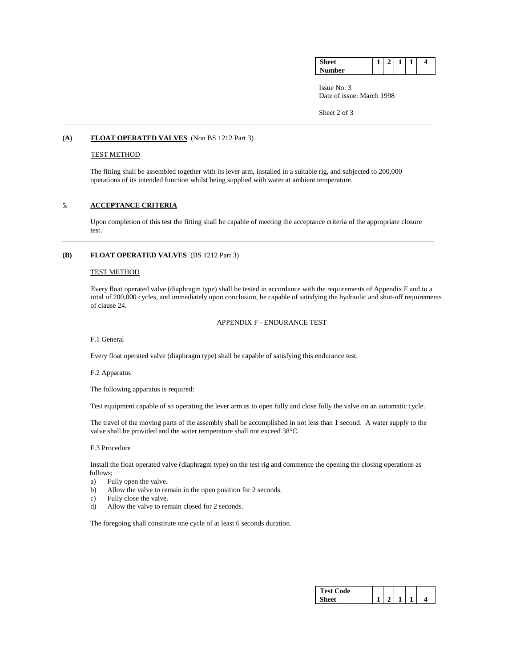| o. | _ | _ | - | 4 |
|----|---|---|---|---|
| ۵r |   |   |   |   |

 Issue No: 3 Date of issue: March 1998

Sheet 2 of 3

### **(A) FLOAT OPERATED VALVES** (Non BS 1212 Part 3)

### TEST METHOD

 The fitting shall be assembled together with its lever arm, installed in a suitable rig, and subjected to 200,000 operations of its intended function whilst being supplied with water at ambient temperature.

\_\_\_\_\_\_\_\_\_\_\_\_\_\_\_\_\_\_\_\_\_\_\_\_\_\_\_\_\_\_\_\_\_\_\_\_\_\_\_\_\_\_\_\_\_\_\_\_\_\_\_\_\_\_\_\_\_\_\_\_\_\_\_\_\_\_\_\_\_\_\_\_\_\_\_\_\_\_\_\_\_\_\_\_\_\_\_\_\_\_\_\_\_\_\_\_\_\_\_\_\_\_\_

### **5. ACCEPTANCE CRITERIA**

 Upon completion of this test the fitting shall be capable of meeting the acceptance criteria of the appropriate closure test.

\_\_\_\_\_\_\_\_\_\_\_\_\_\_\_\_\_\_\_\_\_\_\_\_\_\_\_\_\_\_\_\_\_\_\_\_\_\_\_\_\_\_\_\_\_\_\_\_\_\_\_\_\_\_\_\_\_\_\_\_\_\_\_\_\_\_\_\_\_\_\_\_\_\_\_\_\_\_\_\_\_\_\_\_\_\_\_\_\_\_\_\_\_\_\_\_\_\_\_\_\_\_\_

## **(B) FLOAT OPERATED VALVES** (BS 1212 Part 3)

#### TEST METHOD

 Every float operated valve (diaphragm type) shall be tested in accordance with the requirements of Appendix F and to a total of 200,000 cycles, and immediately upon conclusion, be capable of satisfying the hydraulic and shut-off requirements of clause 24.

APPENDIX F - ENDURANCE TEST

F.1 General

Every float operated valve (diaphragm type) shall be capable of satisfying this endurance test.

#### F.2 Apparatus

The following apparatus is required:

Test equipment capable of so operating the lever arm as to open fully and close fully the valve on an automatic cycle.

 The travel of the moving parts of the assembly shall be accomplished in not less than 1 second. A water supply to the valve shall be provided and the water temperature shall not exceed 38°C.

#### F.3 Procedure

 Install the float operated valve (diaphragm type) on the test rig and commence the opening the closing operations as follows;

- a) Fully open the valve.
- b) Allow the valve to remain in the open position for 2 seconds.
- c) Fully close the valve.
- d) Allow the valve to remain closed for 2 seconds.

The foregoing shall constitute one cycle of at least 6 seconds duration.

| `est Code |  |  |  |
|-----------|--|--|--|
|           |  |  |  |